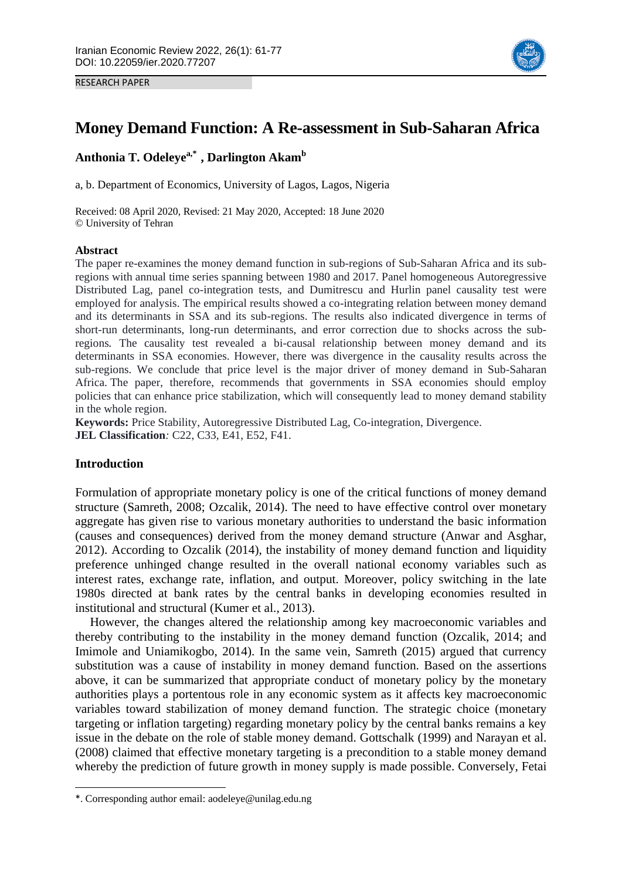RESEARCH PAPER



# **Money Demand Function: A Re-assessment in Sub-Saharan Africa**

**Anthonia T. Odeleyea,\*1 , Darlington Akam<sup>b</sup>**

a, b. Department of Economics, University of Lagos, Lagos, Nigeria

Received: 08 April 2020, Revised: 21 May 2020, Accepted: 18 June 2020 © University of Tehran

#### **Abstract**

The paper re-examines the money demand function in sub-regions of Sub-Saharan Africa and its subregions with annual time series spanning between 1980 and 2017. Panel homogeneous Autoregressive Distributed Lag, panel co-integration tests, and Dumitrescu and Hurlin panel causality test were employed for analysis. The empirical results showed a co-integrating relation between money demand and its determinants in SSA and its sub-regions. The results also indicated divergence in terms of short-run determinants, long-run determinants, and error correction due to shocks across the subregions*.* The causality test revealed a bi-causal relationship between money demand and its determinants in SSA economies. However, there was divergence in the causality results across the sub-regions. We conclude that price level is the major driver of money demand in Sub-Saharan Africa. The paper, therefore, recommends that governments in SSA economies should employ policies that can enhance price stabilization, which will consequently lead to money demand stability in the whole region.

**Keywords:** Price Stability, Autoregressive Distributed Lag, Co-integration, Divergence. **JEL Classification***:* C22, C33, E41, E52, F41.

## **Introduction**

1

Formulation of appropriate monetary policy is one of the critical functions of money demand structure (Samreth, 2008; Ozcalik, 2014). The need to have effective control over monetary aggregate has given rise to various monetary authorities to understand the basic information (causes and consequences) derived from the money demand structure (Anwar and Asghar, 2012). According to Ozcalik (2014), the instability of money demand function and liquidity preference unhinged change resulted in the overall national economy variables such as interest rates, exchange rate, inflation, and output. Moreover, policy switching in the late 1980s directed at bank rates by the central banks in developing economies resulted in institutional and structural (Kumer et al., 2013).

However, the changes altered the relationship among key macroeconomic variables and thereby contributing to the instability in the money demand function (Ozcalik, 2014; and Imimole and Uniamikogbo, 2014). In the same vein, Samreth (2015) argued that currency substitution was a cause of instability in money demand function. Based on the assertions above, it can be summarized that appropriate conduct of monetary policy by the monetary authorities plays a portentous role in any economic system as it affects key macroeconomic variables toward stabilization of money demand function. The strategic choice (monetary targeting or inflation targeting) regarding monetary policy by the central banks remains a key issue in the debate on the role of stable money demand. Gottschalk (1999) and Narayan et al. (2008) claimed that effective monetary targeting is a precondition to a stable money demand whereby the prediction of future growth in money supply is made possible. Conversely, Fetai

<sup>\*.</sup> Corresponding author email: aodeleye@unilag.edu.ng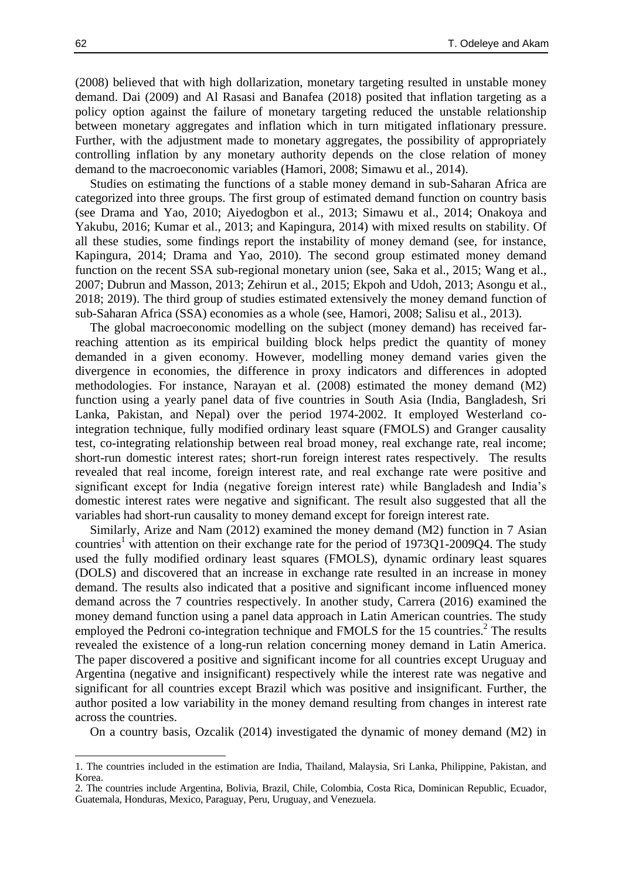(2008) believed that with high dollarization, monetary targeting resulted in unstable money demand. Dai (2009) and Al Rasasi and Banafea (2018) posited that inflation targeting as a policy option against the failure of monetary targeting reduced the unstable relationship between monetary aggregates and inflation which in turn mitigated inflationary pressure. Further, with the adjustment made to monetary aggregates, the possibility of appropriately controlling inflation by any monetary authority depends on the close relation of money demand to the macroeconomic variables (Hamori, 2008; Simawu et al., 2014).

Studies on estimating the functions of a stable money demand in sub-Saharan Africa are categorized into three groups. The first group of estimated demand function on country basis (see Drama and Yao, 2010; Aiyedogbon et al., 2013; Simawu et al., 2014; Onakoya and Yakubu, 2016; Kumar et al., 2013; and Kapingura, 2014) with mixed results on stability. Of all these studies, some findings report the instability of money demand (see, for instance, Kapingura, 2014; Drama and Yao, 2010). The second group estimated money demand function on the recent SSA sub-regional monetary union (see, Saka et al., 2015; Wang et al., 2007; Dubrun and Masson, 2013; Zehirun et al., 2015; Ekpoh and Udoh, 2013; Asongu et al., 2018; 2019). The third group of studies estimated extensively the money demand function of sub-Saharan Africa (SSA) economies as a whole (see, Hamori, 2008; Salisu et al., 2013).

The global macroeconomic modelling on the subject (money demand) has received farreaching attention as its empirical building block helps predict the quantity of money demanded in a given economy. However, modelling money demand varies given the divergence in economies, the difference in proxy indicators and differences in adopted methodologies. For instance, Narayan et al. (2008) estimated the money demand (M2) function using a yearly panel data of five countries in South Asia (India, Bangladesh, Sri Lanka, Pakistan, and Nepal) over the period 1974-2002. It employed Westerland cointegration technique, fully modified ordinary least square (FMOLS) and Granger causality test, co-integrating relationship between real broad money, real exchange rate, real income; short-run domestic interest rates; short-run foreign interest rates respectively. The results revealed that real income, foreign interest rate, and real exchange rate were positive and significant except for India (negative foreign interest rate) while Bangladesh and India's domestic interest rates were negative and significant. The result also suggested that all the variables had short-run causality to money demand except for foreign interest rate.

Similarly, Arize and Nam (2012) examined the money demand (M2) function in 7 Asian countries<sup>1</sup> with attention on their exchange rate for the period of  $1973Q1-2009Q4$ . The study used the fully modified ordinary least squares (FMOLS), dynamic ordinary least squares (DOLS) and discovered that an increase in exchange rate resulted in an increase in money demand. The results also indicated that a positive and significant income influenced money demand across the 7 countries respectively. In another study, Carrera (2016) examined the money demand function using a panel data approach in Latin American countries. The study employed the Pedroni co-integration technique and FMOLS for the 15 countries.<sup>2</sup> The results revealed the existence of a long-run relation concerning money demand in Latin America. The paper discovered a positive and significant income for all countries except Uruguay and Argentina (negative and insignificant) respectively while the interest rate was negative and significant for all countries except Brazil which was positive and insignificant. Further, the author posited a low variability in the money demand resulting from changes in interest rate across the countries.

On a country basis, Ozcalik (2014) investigated the dynamic of money demand (M2) in

1

<sup>1.</sup> The countries included in the estimation are India, Thailand, Malaysia, Sri Lanka, Philippine, Pakistan, and Korea.

<sup>2.</sup> The countries include Argentina, Bolivia, Brazil, Chile, Colombia, Costa Rica, Dominican Republic, Ecuador, Guatemala, Honduras, Mexico, Paraguay, Peru, Uruguay, and Venezuela.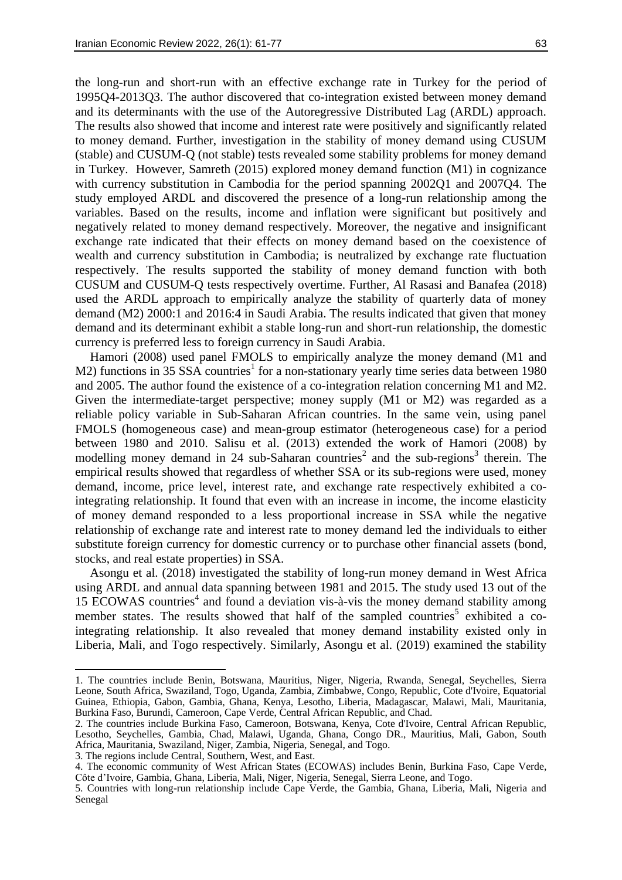the long-run and short-run with an effective exchange rate in Turkey for the period of 1995Q4-2013Q3. The author discovered that co-integration existed between money demand and its determinants with the use of the Autoregressive Distributed Lag (ARDL) approach. The results also showed that income and interest rate were positively and significantly related to money demand. Further, investigation in the stability of money demand using CUSUM (stable) and CUSUM-Q (not stable) tests revealed some stability problems for money demand in Turkey. However, Samreth (2015) explored money demand function (M1) in cognizance with currency substitution in Cambodia for the period spanning 2002Q1 and 2007Q4. The study employed ARDL and discovered the presence of a long-run relationship among the variables. Based on the results, income and inflation were significant but positively and negatively related to money demand respectively. Moreover, the negative and insignificant exchange rate indicated that their effects on money demand based on the coexistence of wealth and currency substitution in Cambodia; is neutralized by exchange rate fluctuation respectively. The results supported the stability of money demand function with both CUSUM and CUSUM-Q tests respectively overtime. Further, Al Rasasi and Banafea (2018) used the ARDL approach to empirically analyze the stability of quarterly data of money demand (M2) 2000:1 and 2016:4 in Saudi Arabia. The results indicated that given that money demand and its determinant exhibit a stable long-run and short-run relationship, the domestic currency is preferred less to foreign currency in Saudi Arabia.

Hamori (2008) used panel FMOLS to empirically analyze the money demand (M1 and M2) functions in 35 SSA countries<sup>1</sup> for a non-stationary yearly time series data between 1980 and 2005. The author found the existence of a co-integration relation concerning M1 and M2. Given the intermediate-target perspective; money supply (M1 or M2) was regarded as a reliable policy variable in Sub-Saharan African countries. In the same vein, using panel FMOLS (homogeneous case) and mean-group estimator (heterogeneous case) for a period between 1980 and 2010. Salisu et al. (2013) extended the work of Hamori (2008) by modelling money demand in 24 sub-Saharan countries<sup>2</sup> and the sub-regions<sup>3</sup> therein. The empirical results showed that regardless of whether SSA or its sub-regions were used, money demand, income, price level, interest rate, and exchange rate respectively exhibited a cointegrating relationship. It found that even with an increase in income, the income elasticity of money demand responded to a less proportional increase in SSA while the negative relationship of exchange rate and interest rate to money demand led the individuals to either substitute foreign currency for domestic currency or to purchase other financial assets (bond, stocks, and real estate properties) in SSA.

Asongu et al. (2018) investigated the stability of long-run money demand in West Africa using ARDL and annual data spanning between 1981 and 2015. The study used 13 out of the 15 ECOWAS countries 4 and found a deviation vis-à-vis the money demand stability among member states. The results showed that half of the sampled countries<sup>5</sup> exhibited a cointegrating relationship. It also revealed that money demand instability existed only in Liberia, Mali, and Togo respectively. Similarly, Asongu et al. (2019) examined the stability

1

<sup>1.</sup> The countries include Benin, Botswana, Mauritius, Niger, Nigeria, Rwanda, Senegal, Seychelles, Sierra Leone, South Africa, Swaziland, Togo, Uganda, Zambia, Zimbabwe, Congo, Republic, Cote d'Ivoire, Equatorial Guinea, Ethiopia, Gabon, Gambia, Ghana, Kenya, Lesotho, Liberia, Madagascar, Malawi, Mali, Mauritania, Burkina Faso, Burundi, Cameroon, Cape Verde, Central African Republic, and Chad.

<sup>2.</sup> The countries include Burkina Faso, Cameroon, Botswana, Kenya, Cote d'Ivoire, Central African Republic, Lesotho, Seychelles, Gambia, Chad, Malawi, Uganda, Ghana, Congo DR., Mauritius, Mali, Gabon, South Africa, Mauritania, Swaziland, Niger, Zambia, Nigeria, Senegal, and Togo.

<sup>3.</sup> The regions include Central, Southern, West, and East.

<sup>4.</sup> The economic community of West African States (ECOWAS) includes Benin, Burkina Faso, Cape Verde, Côte d'Ivoire, Gambia, Ghana, Liberia, Mali, Niger, Nigeria, Senegal, Sierra Leone, and Togo.

<sup>5.</sup> Countries with long-run relationship include Cape Verde, the Gambia, Ghana, Liberia, Mali, Nigeria and Senegal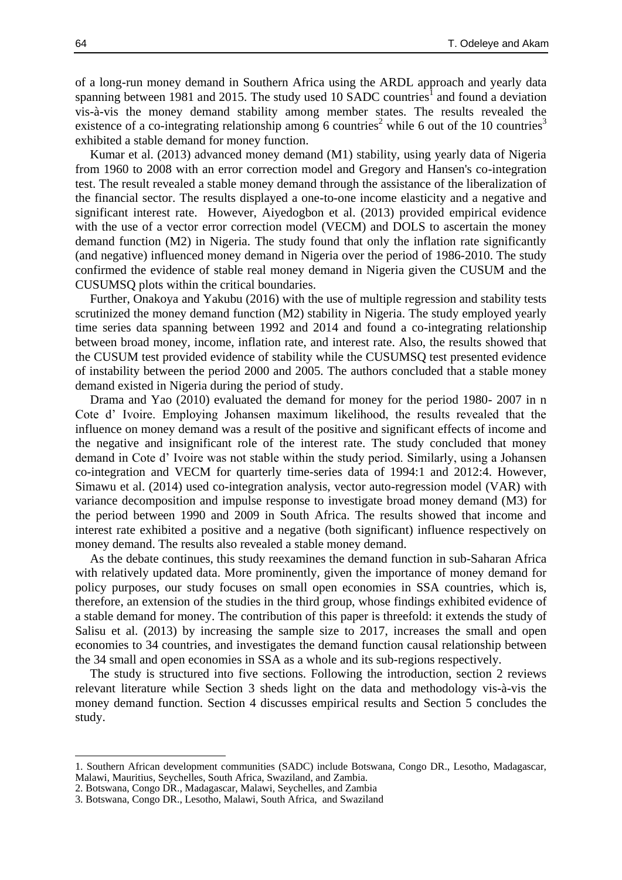of a long-run money demand in Southern Africa using the ARDL approach and yearly data spanning between 1981 and 2015. The study used 10 SADC countries<sup>1</sup> and found a deviation vis-à-vis the money demand stability among member states. The results revealed the existence of a co-integrating relationship among 6 countries<sup>2</sup> while 6 out of the 10 countries<sup>3</sup> exhibited a stable demand for money function.

Kumar et al. (2013) advanced money demand (M1) stability, using yearly data of Nigeria from 1960 to 2008 with an error correction model and Gregory and Hansen's co-integration test. The result revealed a stable money demand through the assistance of the liberalization of the financial sector. The results displayed a one-to-one income elasticity and a negative and significant interest rate. However, Aiyedogbon et al. (2013) provided empirical evidence with the use of a vector error correction model (VECM) and DOLS to ascertain the money demand function (M2) in Nigeria. The study found that only the inflation rate significantly (and negative) influenced money demand in Nigeria over the period of 1986-2010. The study confirmed the evidence of stable real money demand in Nigeria given the CUSUM and the CUSUMSQ plots within the critical boundaries.

Further, Onakoya and Yakubu (2016) with the use of multiple regression and stability tests scrutinized the money demand function (M2) stability in Nigeria. The study employed yearly time series data spanning between 1992 and 2014 and found a co-integrating relationship between broad money, income, inflation rate, and interest rate. Also, the results showed that the CUSUM test provided evidence of stability while the CUSUMSQ test presented evidence of instability between the period 2000 and 2005. The authors concluded that a stable money demand existed in Nigeria during the period of study.

Drama and Yao (2010) evaluated the demand for money for the period 1980- 2007 in n Cote d' Ivoire. Employing Johansen maximum likelihood, the results revealed that the influence on money demand was a result of the positive and significant effects of income and the negative and insignificant role of the interest rate. The study concluded that money demand in Cote d' Ivoire was not stable within the study period. Similarly, using a Johansen co-integration and VECM for quarterly time-series data of 1994:1 and 2012:4. However, Simawu et al. (2014) used co-integration analysis, vector auto-regression model (VAR) with variance decomposition and impulse response to investigate broad money demand (M3) for the period between 1990 and 2009 in South Africa. The results showed that income and interest rate exhibited a positive and a negative (both significant) influence respectively on money demand. The results also revealed a stable money demand.

As the debate continues, this study reexamines the demand function in sub-Saharan Africa with relatively updated data. More prominently, given the importance of money demand for policy purposes, our study focuses on small open economies in SSA countries, which is, therefore, an extension of the studies in the third group, whose findings exhibited evidence of a stable demand for money. The contribution of this paper is threefold: it extends the study of Salisu et al. (2013) by increasing the sample size to 2017, increases the small and open economies to 34 countries, and investigates the demand function causal relationship between the 34 small and open economies in SSA as a whole and its sub-regions respectively.

The study is structured into five sections. Following the introduction, section 2 reviews relevant literature while Section 3 sheds light on the data and methodology vis-à-vis the money demand function. Section 4 discusses empirical results and Section 5 concludes the study.

1

<sup>1.</sup> Southern African development communities (SADC) include Botswana, Congo DR., Lesotho, Madagascar, Malawi, Mauritius, Seychelles, South Africa, Swaziland, and Zambia.

<sup>2.</sup> Botswana, Congo DR., Madagascar, Malawi, Seychelles, and Zambia

<sup>3.</sup> Botswana, Congo DR., Lesotho, Malawi, South Africa, and Swaziland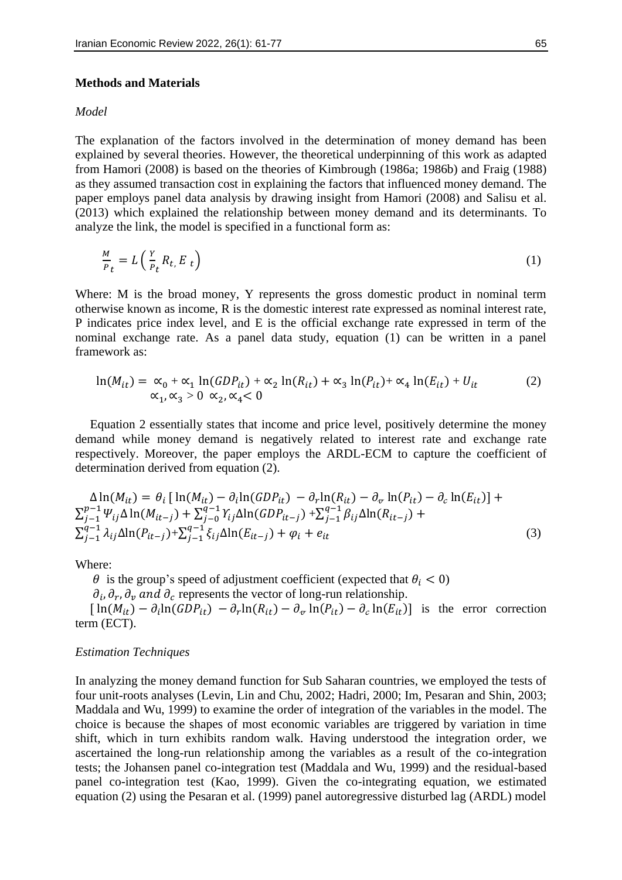#### **Methods and Materials**

#### *Model*

The explanation of the factors involved in the determination of money demand has been explained by several theories. However, the theoretical underpinning of this work as adapted from Hamori (2008) is based on the theories of Kimbrough (1986a; 1986b) and Fraig (1988) as they assumed transaction cost in explaining the factors that influenced money demand. The paper employs panel data analysis by drawing insight from Hamori (2008) and Salisu et al. (2013) which explained the relationship between money demand and its determinants. To analyze the link, the model is specified in a functional form as:

$$
\frac{M}{P_t} = L\left(\frac{Y}{P_t}R_t, E_t\right) \tag{1}
$$

Where: M is the broad money, Y represents the gross domestic product in nominal term otherwise known as income, R is the domestic interest rate expressed as nominal interest rate, P indicates price index level, and E is the official exchange rate expressed in term of the nominal exchange rate. As a panel data study, equation (1) can be written in a panel framework as:

$$
\ln(M_{it}) = \alpha_0 + \alpha_1 \ln(GDP_{it}) + \alpha_2 \ln(R_{it}) + \alpha_3 \ln(P_{it}) + \alpha_4 \ln(E_{it}) + U_{it}
$$
  
 
$$
\alpha_1, \alpha_3 > 0 \alpha_2, \alpha_4 < 0
$$
 (2)

Equation 2 essentially states that income and price level, positively determine the money demand while money demand is negatively related to interest rate and exchange rate respectively. Moreover, the paper employs the ARDL-ECM to capture the coefficient of determination derived from equation (2).

$$
\Delta \ln(M_{it}) = \theta_i \left[ \ln(M_{it}) - \partial_t \ln(GDP_{it}) - \partial_r \ln(R_{it}) - \partial_v \ln(P_{it}) - \partial_c \ln(E_{it}) \right] +
$$
  
\n
$$
\sum_{j-1}^{p-1} \Psi_{ij} \Delta \ln(M_{it-j}) + \sum_{j-0}^{q-1} \gamma_{ij} \Delta \ln(GDP_{it-j}) + \sum_{j-1}^{q-1} \beta_{ij} \Delta \ln(R_{it-j}) +
$$
  
\n
$$
\sum_{j-1}^{q-1} \lambda_{ij} \Delta \ln(P_{it-j}) + \sum_{j-1}^{q-1} \xi_{ij} \Delta \ln(E_{it-j}) + \varphi_i + e_{it}
$$
\n(3)

Where:

 $\theta$  is the group's speed of adjustment coefficient (expected that  $\theta_i < 0$ )

 $\partial_i$ ,  $\partial_r$ ,  $\partial_v$  and  $\partial_c$  represents the vector of long-run relationship.

 $\left[\ln(M_{it}) - \partial_i \ln(GDP_{it}) - \partial_r \ln(R_{it}) - \partial_{\varphi} \ln(P_{it}) - \partial_c \ln(E_{it})\right]$  is the error correction term (ECT).

#### *Estimation Techniques*

In analyzing the money demand function for Sub Saharan countries, we employed the tests of four unit-roots analyses (Levin, Lin and Chu, 2002; Hadri, 2000; Im, Pesaran and Shin, 2003; Maddala and Wu, 1999) to examine the order of integration of the variables in the model. The choice is because the shapes of most economic variables are triggered by variation in time shift, which in turn exhibits random walk. Having understood the integration order, we ascertained the long-run relationship among the variables as a result of the co-integration tests; the Johansen panel co-integration test (Maddala and Wu, 1999) and the residual-based panel co-integration test (Kao, 1999). Given the co-integrating equation, we estimated equation (2) using the Pesaran et al. (1999) panel autoregressive disturbed lag (ARDL) model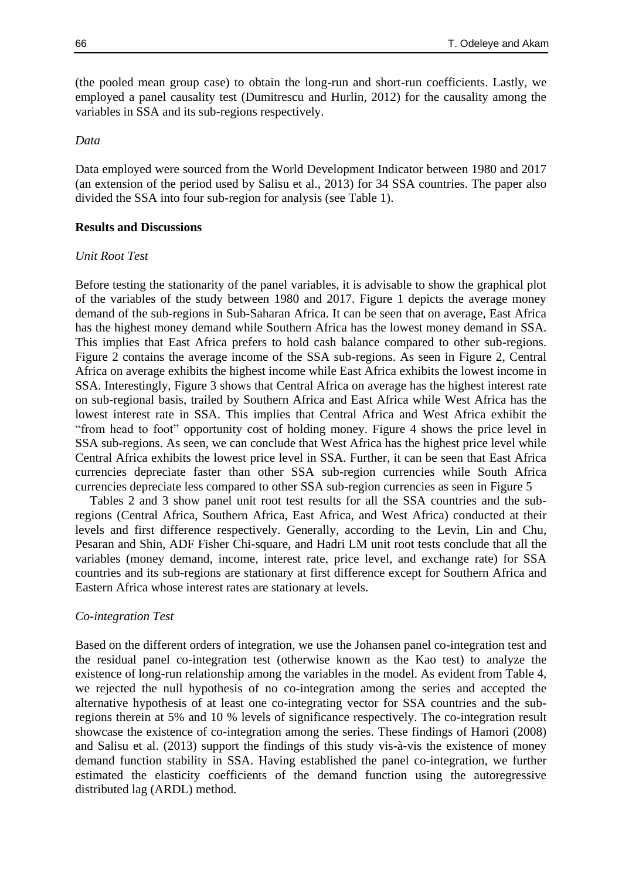(the pooled mean group case) to obtain the long-run and short-run coefficients. Lastly, we employed a panel causality test (Dumitrescu and Hurlin, 2012) for the causality among the variables in SSA and its sub-regions respectively.

#### *Data*

Data employed were sourced from the World Development Indicator between 1980 and 2017 (an extension of the period used by Salisu et al., 2013) for 34 SSA countries. The paper also divided the SSA into four sub-region for analysis (see Table 1).

## **Results and Discussions**

#### *Unit Root Test*

Before testing the stationarity of the panel variables, it is advisable to show the graphical plot of the variables of the study between 1980 and 2017. Figure 1 depicts the average money demand of the sub-regions in Sub-Saharan Africa. It can be seen that on average, East Africa has the highest money demand while Southern Africa has the lowest money demand in SSA. This implies that East Africa prefers to hold cash balance compared to other sub-regions. Figure 2 contains the average income of the SSA sub-regions. As seen in Figure 2, Central Africa on average exhibits the highest income while East Africa exhibits the lowest income in SSA. Interestingly, Figure 3 shows that Central Africa on average has the highest interest rate on sub-regional basis, trailed by Southern Africa and East Africa while West Africa has the lowest interest rate in SSA. This implies that Central Africa and West Africa exhibit the "from head to foot" opportunity cost of holding money. Figure 4 shows the price level in SSA sub-regions. As seen, we can conclude that West Africa has the highest price level while Central Africa exhibits the lowest price level in SSA. Further, it can be seen that East Africa currencies depreciate faster than other SSA sub-region currencies while South Africa currencies depreciate less compared to other SSA sub-region currencies as seen in Figure 5

Tables 2 and 3 show panel unit root test results for all the SSA countries and the subregions (Central Africa, Southern Africa, East Africa, and West Africa) conducted at their levels and first difference respectively. Generally, according to the Levin, Lin and Chu, Pesaran and Shin, ADF Fisher Chi-square, and Hadri LM unit root tests conclude that all the variables (money demand, income, interest rate, price level, and exchange rate) for SSA countries and its sub-regions are stationary at first difference except for Southern Africa and Eastern Africa whose interest rates are stationary at levels.

#### *Co-integration Test*

Based on the different orders of integration, we use the Johansen panel co-integration test and the residual panel co-integration test (otherwise known as the Kao test) to analyze the existence of long-run relationship among the variables in the model. As evident from Table 4, we rejected the null hypothesis of no co-integration among the series and accepted the alternative hypothesis of at least one co-integrating vector for SSA countries and the subregions therein at 5% and 10 % levels of significance respectively. The co-integration result showcase the existence of co-integration among the series. These findings of Hamori (2008) and Salisu et al. (2013) support the findings of this study vis-à-vis the existence of money demand function stability in SSA. Having established the panel co-integration, we further estimated the elasticity coefficients of the demand function using the autoregressive distributed lag (ARDL) method.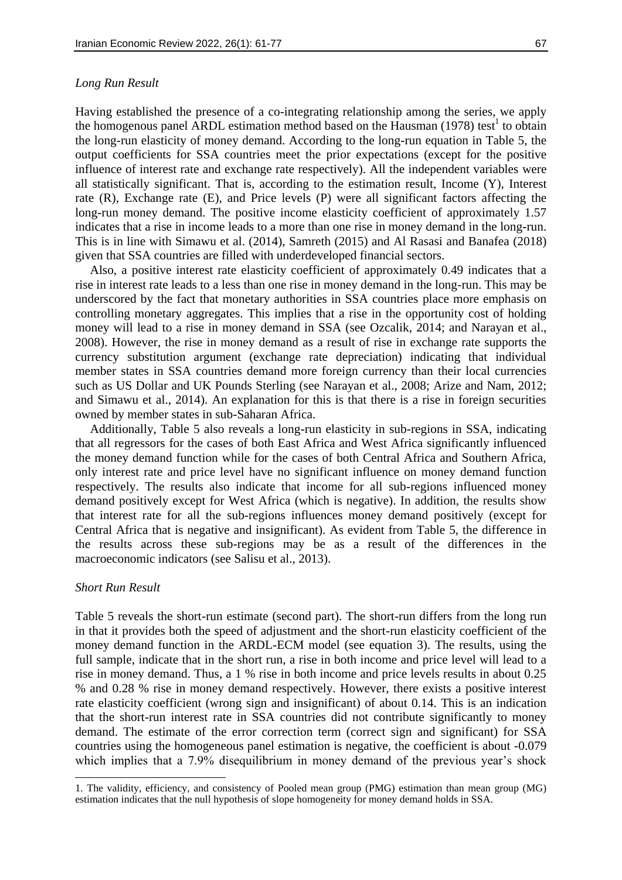#### *Long Run Result*

Having established the presence of a co-integrating relationship among the series, we apply the homogenous panel ARDL estimation method based on the Hausman  $(1978)$  test<sup>1</sup> to obtain the long-run elasticity of money demand. According to the long-run equation in Table 5, the output coefficients for SSA countries meet the prior expectations (except for the positive influence of interest rate and exchange rate respectively). All the independent variables were all statistically significant. That is, according to the estimation result, Income (Y), Interest rate (R), Exchange rate (E), and Price levels (P) were all significant factors affecting the long-run money demand. The positive income elasticity coefficient of approximately 1.57 indicates that a rise in income leads to a more than one rise in money demand in the long-run. This is in line with Simawu et al. (2014), Samreth (2015) and Al Rasasi and Banafea (2018) given that SSA countries are filled with underdeveloped financial sectors.

Also, a positive interest rate elasticity coefficient of approximately 0.49 indicates that a rise in interest rate leads to a less than one rise in money demand in the long-run. This may be underscored by the fact that monetary authorities in SSA countries place more emphasis on controlling monetary aggregates. This implies that a rise in the opportunity cost of holding money will lead to a rise in money demand in SSA (see Ozcalik, 2014; and Narayan et al., 2008). However, the rise in money demand as a result of rise in exchange rate supports the currency substitution argument (exchange rate depreciation) indicating that individual member states in SSA countries demand more foreign currency than their local currencies such as US Dollar and UK Pounds Sterling (see Narayan et al., 2008; Arize and Nam, 2012; and Simawu et al., 2014). An explanation for this is that there is a rise in foreign securities owned by member states in sub-Saharan Africa.

Additionally, Table 5 also reveals a long-run elasticity in sub-regions in SSA, indicating that all regressors for the cases of both East Africa and West Africa significantly influenced the money demand function while for the cases of both Central Africa and Southern Africa, only interest rate and price level have no significant influence on money demand function respectively. The results also indicate that income for all sub-regions influenced money demand positively except for West Africa (which is negative). In addition, the results show that interest rate for all the sub-regions influences money demand positively (except for Central Africa that is negative and insignificant). As evident from Table 5, the difference in the results across these sub-regions may be as a result of the differences in the macroeconomic indicators (see Salisu et al., 2013).

#### *Short Run Result*

**.** 

Table 5 reveals the short-run estimate (second part). The short-run differs from the long run in that it provides both the speed of adjustment and the short-run elasticity coefficient of the money demand function in the ARDL-ECM model (see equation 3). The results, using the full sample, indicate that in the short run, a rise in both income and price level will lead to a rise in money demand. Thus, a 1 % rise in both income and price levels results in about 0.25 % and 0.28 % rise in money demand respectively. However, there exists a positive interest rate elasticity coefficient (wrong sign and insignificant) of about 0.14. This is an indication that the short-run interest rate in SSA countries did not contribute significantly to money demand. The estimate of the error correction term (correct sign and significant) for SSA countries using the homogeneous panel estimation is negative, the coefficient is about -0.079 which implies that a 7.9% disequilibrium in money demand of the previous year's shock

<sup>1.</sup> The validity, efficiency, and consistency of Pooled mean group (PMG) estimation than mean group (MG) estimation indicates that the null hypothesis of slope homogeneity for money demand holds in SSA.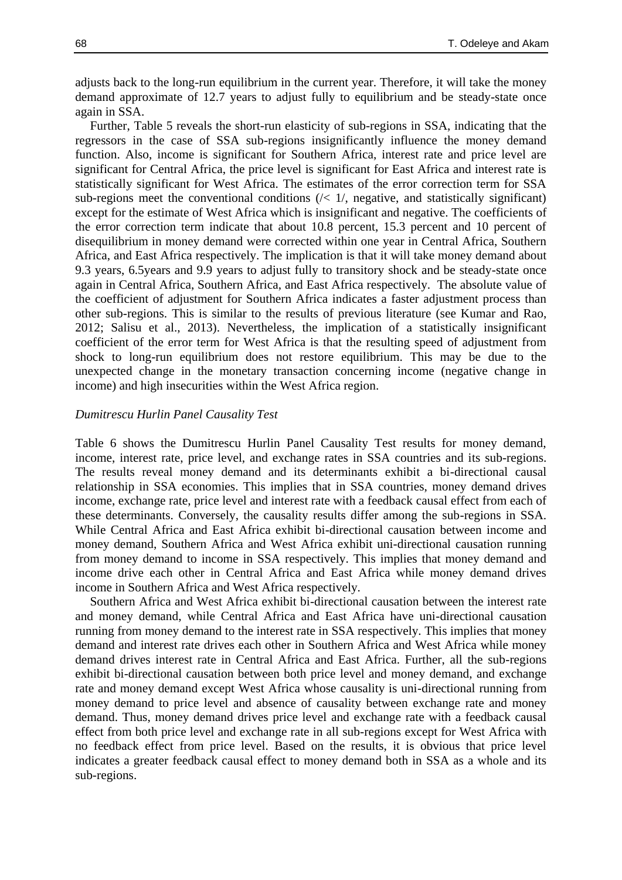adjusts back to the long-run equilibrium in the current year. Therefore, it will take the money demand approximate of 12.7 years to adjust fully to equilibrium and be steady-state once again in SSA.

Further, Table 5 reveals the short-run elasticity of sub-regions in SSA, indicating that the regressors in the case of SSA sub-regions insignificantly influence the money demand function. Also, income is significant for Southern Africa, interest rate and price level are significant for Central Africa, the price level is significant for East Africa and interest rate is statistically significant for West Africa. The estimates of the error correction term for SSA sub-regions meet the conventional conditions  $\left(\frac{1}{1}\right)$ , negative, and statistically significant) except for the estimate of West Africa which is insignificant and negative. The coefficients of the error correction term indicate that about 10.8 percent, 15.3 percent and 10 percent of disequilibrium in money demand were corrected within one year in Central Africa, Southern Africa, and East Africa respectively. The implication is that it will take money demand about 9.3 years, 6.5years and 9.9 years to adjust fully to transitory shock and be steady-state once again in Central Africa, Southern Africa, and East Africa respectively. The absolute value of the coefficient of adjustment for Southern Africa indicates a faster adjustment process than other sub-regions. This is similar to the results of previous literature (see Kumar and Rao, 2012; Salisu et al., 2013). Nevertheless, the implication of a statistically insignificant coefficient of the error term for West Africa is that the resulting speed of adjustment from shock to long-run equilibrium does not restore equilibrium. This may be due to the unexpected change in the monetary transaction concerning income (negative change in income) and high insecurities within the West Africa region.

#### *Dumitrescu Hurlin Panel Causality Test*

Table 6 shows the Dumitrescu Hurlin Panel Causality Test results for money demand, income, interest rate, price level, and exchange rates in SSA countries and its sub-regions. The results reveal money demand and its determinants exhibit a bi-directional causal relationship in SSA economies. This implies that in SSA countries, money demand drives income, exchange rate, price level and interest rate with a feedback causal effect from each of these determinants. Conversely, the causality results differ among the sub-regions in SSA. While Central Africa and East Africa exhibit bi-directional causation between income and money demand, Southern Africa and West Africa exhibit uni-directional causation running from money demand to income in SSA respectively. This implies that money demand and income drive each other in Central Africa and East Africa while money demand drives income in Southern Africa and West Africa respectively.

Southern Africa and West Africa exhibit bi-directional causation between the interest rate and money demand, while Central Africa and East Africa have uni-directional causation running from money demand to the interest rate in SSA respectively. This implies that money demand and interest rate drives each other in Southern Africa and West Africa while money demand drives interest rate in Central Africa and East Africa. Further, all the sub-regions exhibit bi-directional causation between both price level and money demand, and exchange rate and money demand except West Africa whose causality is uni-directional running from money demand to price level and absence of causality between exchange rate and money demand. Thus, money demand drives price level and exchange rate with a feedback causal effect from both price level and exchange rate in all sub-regions except for West Africa with no feedback effect from price level. Based on the results, it is obvious that price level indicates a greater feedback causal effect to money demand both in SSA as a whole and its sub-regions.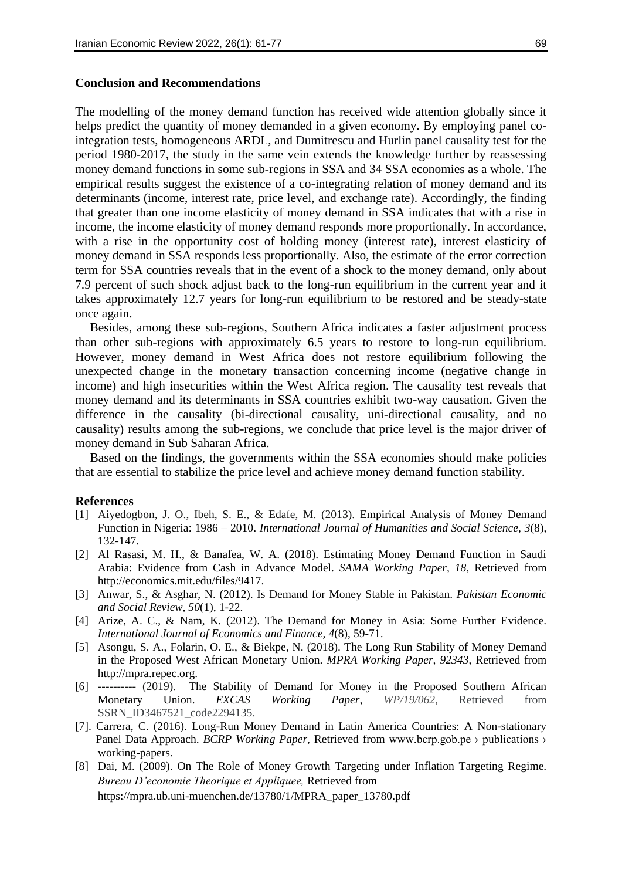The modelling of the money demand function has received wide attention globally since it helps predict the quantity of money demanded in a given economy. By employing panel cointegration tests, homogeneous ARDL, and Dumitrescu and Hurlin panel causality test for the period 1980-2017, the study in the same vein extends the knowledge further by reassessing money demand functions in some sub-regions in SSA and 34 SSA economies as a whole. The empirical results suggest the existence of a co-integrating relation of money demand and its determinants (income, interest rate, price level, and exchange rate). Accordingly, the finding that greater than one income elasticity of money demand in SSA indicates that with a rise in income, the income elasticity of money demand responds more proportionally. In accordance, with a rise in the opportunity cost of holding money (interest rate), interest elasticity of money demand in SSA responds less proportionally. Also, the estimate of the error correction term for SSA countries reveals that in the event of a shock to the money demand, only about 7.9 percent of such shock adjust back to the long-run equilibrium in the current year and it takes approximately 12.7 years for long-run equilibrium to be restored and be steady-state once again.

Besides, among these sub-regions, Southern Africa indicates a faster adjustment process than other sub-regions with approximately 6.5 years to restore to long-run equilibrium. However, money demand in West Africa does not restore equilibrium following the unexpected change in the monetary transaction concerning income (negative change in income) and high insecurities within the West Africa region. The causality test reveals that money demand and its determinants in SSA countries exhibit two-way causation. Given the difference in the causality (bi-directional causality, uni-directional causality, and no causality) results among the sub-regions, we conclude that price level is the major driver of money demand in Sub Saharan Africa.

Based on the findings, the governments within the SSA economies should make policies that are essential to stabilize the price level and achieve money demand function stability.

#### **References**

- [1] Aiyedogbon, J. O., Ibeh, S. E., & Edafe, M. (2013). Empirical Analysis of Money Demand Function in Nigeria: 1986 – 2010. *International Journal of Humanities and Social Science, 3*(8), 132-147.
- [2] Al Rasasi, M. H., & Banafea, W. A. (2018). Estimating Money Demand Function in Saudi Arabia: Evidence from Cash in Advance Model. *SAMA Working Paper, 18*, Retrieved from http://economics.mit.edu/files/9417.
- [3] Anwar, S., & Asghar, N. (2012). Is Demand for Money Stable in Pakistan. *Pakistan Economic and Social Review*, *50*(1), 1-22.
- [4] Arize, A. C., & Nam, K. (2012). The Demand for Money in Asia: Some Further Evidence. *International Journal of Economics and Finance, 4*(8), 59-71.
- [5] Asongu, S. A., Folarin, O. E., & Biekpe, N. (2018). The Long Run Stability of Money Demand in the Proposed West African Monetary Union. *MPRA Working Paper, 92343*, Retrieved from http://mpra.repec.org.
- [6] ---------- (2019). The Stability of Demand for Money in the Proposed Southern African Monetary Union. *EXCAS Working Paper, WP/19/062,* Retrieved from SSRN\_ID3467521\_code2294135.
- [7]. Carrera, C. (2016). Long-Run Money Demand in Latin America Countries: A Non-stationary Panel Data Approach. *BCRP Working Paper*, Retrieved from www.bcrp.gob.pe > publications > working-papers.
- [8] Dai, M. (2009). On The Role of Money Growth Targeting under Inflation Targeting Regime. *Bureau D'economie Theorique et Appliquee,* Retrieved from https://mpra.ub.uni-muenchen.de/13780/1/MPRA\_paper\_13780.pdf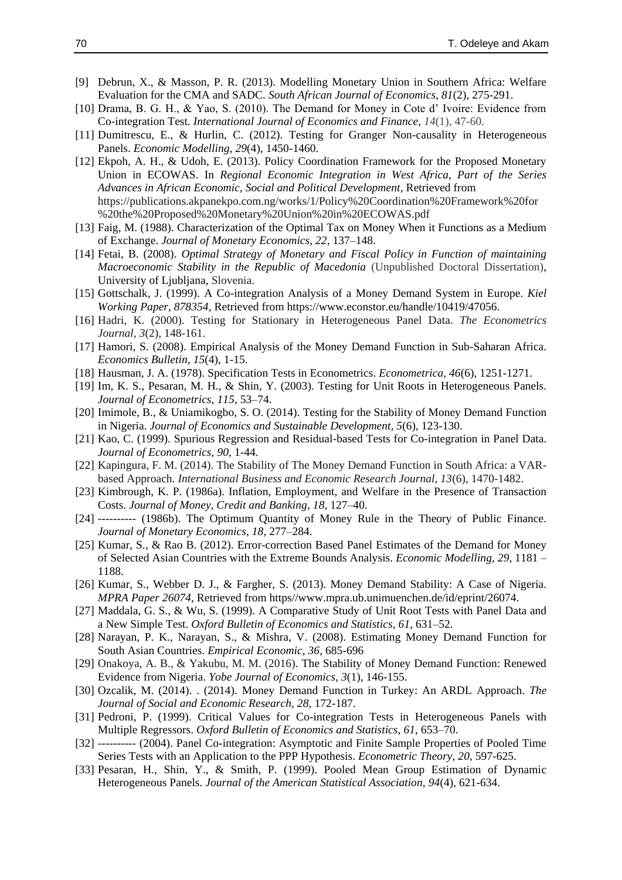- [9] Debrun, X., & Masson, P. R. (2013). Modelling Monetary Union in Southern Africa: Welfare Evaluation for the CMA and SADC. *South African Journal of Economics*, *81*(2), 275-291.
- [10] Drama, B. G. H., & Yao, S. (2010). The Demand for Money in Cote d' Ivoire: Evidence from Co-integration Test. *International Journal of Economics and Finance, 14*(1), 47-60.
- [11] Dumitrescu, E., & Hurlin, C. (2012). Testing for Granger Non-causality in Heterogeneous Panels. *Economic Modelling, 29*(4), 1450-1460.
- [12] Ekpoh, A. H., & Udoh, E. (2013). Policy Coordination Framework for the Proposed Monetary Union in ECOWAS. In *Regional Economic Integration in West Africa, Part of the Series Advances in African Economic, Social and Political Development,* Retrieved from https://publications.akpanekpo.com.ng/works/1/Policy%20Coordination%20Framework%20for %20the%20Proposed%20Monetary%20Union%20in%20ECOWAS.pdf
- [13] Faig, M. (1988). Characterization of the Optimal Tax on Money When it Functions as a Medium of Exchange. *Journal of Monetary Economics*, *22*, 137–148.
- [14] Fetai, B. (2008). *Optimal Strategy of Monetary and Fiscal Policy in Function of maintaining Macroeconomic Stability in the Republic of Macedonia* (Unpublished Doctoral Dissertation), University of Ljubljana, Slovenia.
- [15] Gottschalk, J. (1999). A Co-integration Analysis of a Money Demand System in Europe. *Kiel Working Paper, 878354,* Retrieved from https://www.econstor.eu/handle/10419/47056.
- [16] Hadri, K. (2000). Testing for Stationary in Heterogeneous Panel Data. *The Econometrics Journal, 3*(2), 148-161.
- [17] Hamori, S. (2008). Empirical Analysis of the Money Demand Function in Sub-Saharan Africa. *Economics Bulletin*, *15*(4), 1-15.
- [18] Hausman, J. A. (1978). Specification Tests in Econometrics. *Econometrica, 46*(6), 1251-1271.
- [19] Im, K. S., Pesaran, M. H., & Shin, Y. (2003). Testing for Unit Roots in Heterogeneous Panels. *Journal of Econometrics*, *115*, 53–74.
- [20] Imimole, B., & Uniamikogbo, S. O. (2014). Testing for the Stability of Money Demand Function in Nigeria. *Journal of Economics and Sustainable Development, 5*(6), 123-130.
- [21] Kao, C. (1999). Spurious Regression and Residual-based Tests for Co-integration in Panel Data. *Journal of Econometrics*, *90*, 1-44.
- [22] Kapingura, F. M. (2014). The Stability of The Money Demand Function in South Africa: a VARbased Approach. *International Business and Economic Research Journal, 13*(6), 1470-1482.
- [23] Kimbrough, K. P. (1986a). Inflation, Employment, and Welfare in the Presence of Transaction Costs. *Journal of Money, Credit and Banking*, *18*, 127–40.
- [24] ---------- (1986b). The Optimum Quantity of Money Rule in the Theory of Public Finance. *Journal of Monetary Economics*, *18,* 277–284.
- [25] Kumar, S., & Rao B. (2012). Error-correction Based Panel Estimates of the Demand for Money of Selected Asian Countries with the Extreme Bounds Analysis. *Economic Modelling, 29*, 1181 – 1188.
- [26] Kumar, S., Webber D. J., & Fargher, S. (2013). Money Demand Stability: A Case of Nigeria. *MPRA Paper 26074*, Retrieved from https//www.mpra.ub.unimuenchen.de/id/eprint/26074.
- [27] Maddala, G. S., & Wu, S. (1999). A Comparative Study of Unit Root Tests with Panel Data and a New Simple Test. *Oxford Bulletin of Economics and Statistics*, *61*, 631–52.
- [28] Narayan, P. K., Narayan, S., & Mishra, V. (2008). Estimating Money Demand Function for South Asian Countries. *Empirical Economic, 36,* 685-696
- [29] Onakoya, A. B., & Yakubu, M. M. (2016). The Stability of Money Demand Function: Renewed Evidence from Nigeria. *Yobe Journal of Economics*, *3*(1), 146-155.
- [30] Ozcalik, M. (2014). . (2014). Money Demand Function in Turkey: An ARDL Approach. *The Journal of Social and Economic Research, 28,* 172-187.
- [31] Pedroni, P. (1999). Critical Values for Co-integration Tests in Heterogeneous Panels with Multiple Regressors. *Oxford Bulletin of Economics and Statistics*, *61*, 653–70.
- [32] ---------- (2004). Panel Co-integration: Asymptotic and Finite Sample Properties of Pooled Time Series Tests with an Application to the PPP Hypothesis. *Econometric Theory*, *20*, 597-625.
- [33] Pesaran, H., Shin, Y., & Smith, P. (1999). Pooled Mean Group Estimation of Dynamic Heterogeneous Panels. *Journal of the American Statistical Association, 94*(4), 621-634.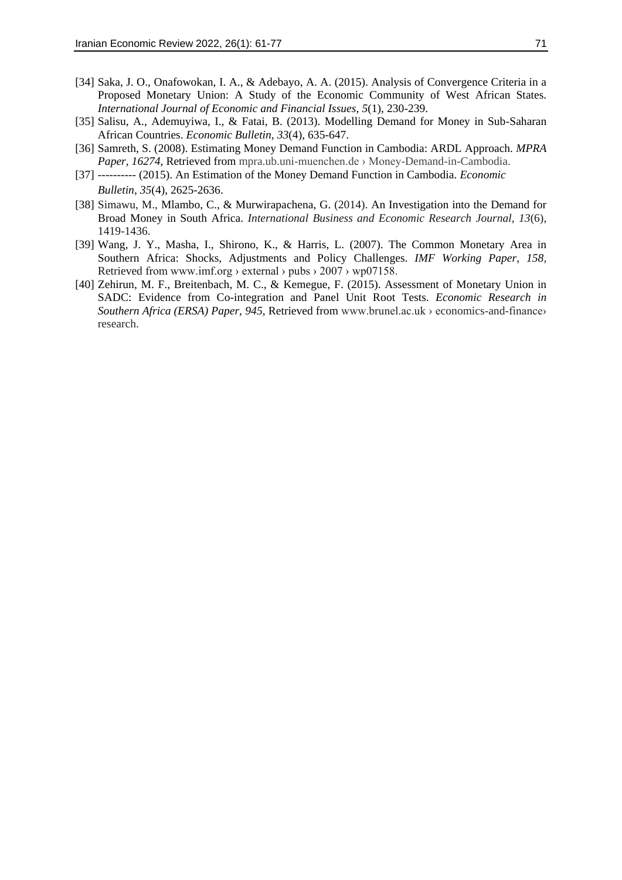- [34] Saka, J. O., Onafowokan, I. A., & Adebayo, A. A. (2015). Analysis of Convergence Criteria in a Proposed Monetary Union: A Study of the Economic Community of West African States. *International Journal of Economic and Financial Issues*, *5*(1), 230-239.
- [35] Salisu, A., Ademuyiwa, I., & Fatai, B. (2013). Modelling Demand for Money in Sub-Saharan African Countries. *Economic Bulletin, 33*(4), 635-647.
- [36] Samreth, S. (2008). Estimating Money Demand Function in Cambodia: ARDL Approach. *MPRA Paper, 16274*, Retrieved from mpra.ub.uni-muenchen.de › Money-Demand-in-Cambodia.
- [37] ---------- (2015). An Estimation of the Money Demand Function in Cambodia. *Economic Bulletin, 35*(4), 2625-2636.
- [38] Simawu, M., Mlambo, C., & Murwirapachena, G. (2014). An Investigation into the Demand for Broad Money in South Africa. *International Business and Economic Research Journal, 13*(6), 1419-1436.
- [39] Wang, J. Y., Masha, I., Shirono, K., & Harris, L. (2007). The Common Monetary Area in Southern Africa: Shocks, Adjustments and Policy Challenges. *IMF Working Paper, 158,*  Retrieved from www.imf.org › external › pubs › 2007 › wp07158.
- [40] Zehirun, M. F., Breitenbach, M. C., & Kemegue, F. (2015). Assessment of Monetary Union in SADC: Evidence from Co-integration and Panel Unit Root Tests. *Economic Research in Southern Africa (ERSA) Paper, 945*, Retrieved from www.brunel.ac.uk › economics-and-finance› research.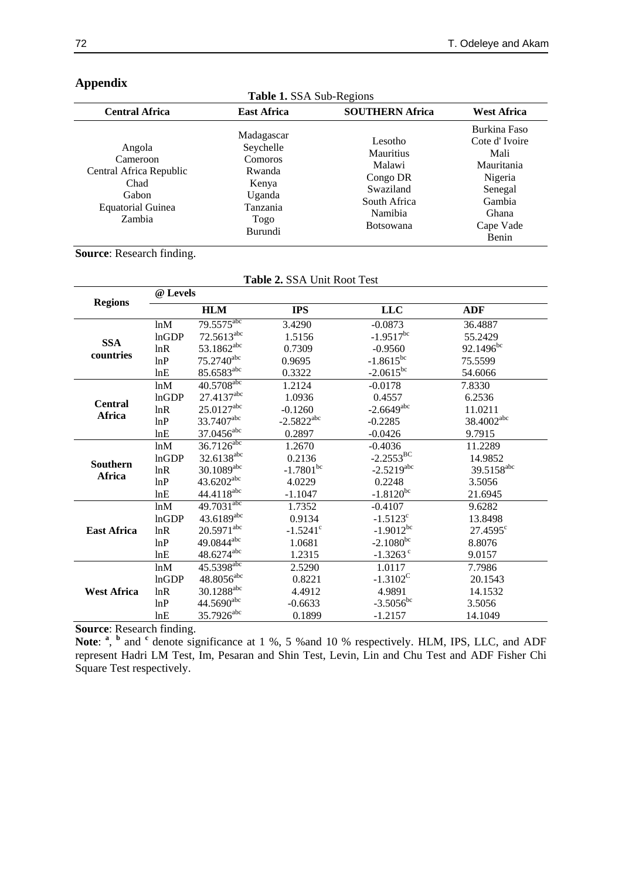| <b>Table 1. SSA Sub-Regions</b>                                                                      |                                                                                                |                                                                                                        |                                                                                                                    |  |  |  |
|------------------------------------------------------------------------------------------------------|------------------------------------------------------------------------------------------------|--------------------------------------------------------------------------------------------------------|--------------------------------------------------------------------------------------------------------------------|--|--|--|
| <b>Central Africa</b>                                                                                | <b>East Africa</b>                                                                             | <b>SOUTHERN Africa</b>                                                                                 | <b>West Africa</b>                                                                                                 |  |  |  |
| Angola<br>Cameroon<br>Central Africa Republic<br>Chad<br>Gabon<br><b>Equatorial Guinea</b><br>Zambia | Madagascar<br>Seychelle<br>Comoros<br>Rwanda<br>Kenya<br>Uganda<br>Tanzania<br>Togo<br>Burundi | Lesotho<br>Mauritius<br>Malawi<br>Congo DR<br>Swaziland<br>South Africa<br>Namibia<br><b>Botsowana</b> | Burkina Faso<br>Cote d'Ivoire<br>Mali<br>Mauritania<br>Nigeria<br>Senegal<br>Gambia<br>Ghana<br>Cape Vade<br>Benin |  |  |  |

# **Appendix**

# **Source**: Research finding.

| Table 2. SSA Unit Root Test |                        |                                                                                                                                                                                                                                                                                                                                                                                                               |                                            |                                                                                                            |  |  |
|-----------------------------|------------------------|---------------------------------------------------------------------------------------------------------------------------------------------------------------------------------------------------------------------------------------------------------------------------------------------------------------------------------------------------------------------------------------------------------------|--------------------------------------------|------------------------------------------------------------------------------------------------------------|--|--|
| @ Levels                    |                        |                                                                                                                                                                                                                                                                                                                                                                                                               |                                            |                                                                                                            |  |  |
|                             | <b>HLM</b>             | <b>IPS</b>                                                                                                                                                                                                                                                                                                                                                                                                    | <b>LLC</b>                                 | <b>ADF</b>                                                                                                 |  |  |
| ln M                        | 79.5575 <sup>abc</sup> | 3.4290                                                                                                                                                                                                                                                                                                                                                                                                        | $-0.0873$                                  | 36.4887                                                                                                    |  |  |
| lnGDP                       | $72.5613^{abc}$        | 1.5156                                                                                                                                                                                                                                                                                                                                                                                                        | $-1.9517^{bc}$                             | 55.2429                                                                                                    |  |  |
| lnR                         | 53.1862 <sup>abc</sup> | 0.7309                                                                                                                                                                                                                                                                                                                                                                                                        | $-0.9560$                                  | $92.1496^{bc}$                                                                                             |  |  |
| lnP                         |                        | 0.9695                                                                                                                                                                                                                                                                                                                                                                                                        |                                            | 75.5599                                                                                                    |  |  |
| lnE                         | 85.6583abc             | 0.3322                                                                                                                                                                                                                                                                                                                                                                                                        | $-2.0615^{bc}$                             | 54.6066                                                                                                    |  |  |
| lnM                         |                        | 1.2124                                                                                                                                                                                                                                                                                                                                                                                                        | $-0.0178$                                  | 7.8330                                                                                                     |  |  |
| lnGDP                       |                        | 1.0936                                                                                                                                                                                                                                                                                                                                                                                                        | 0.4557                                     | 6.2536                                                                                                     |  |  |
| lnR                         |                        | $-0.1260$                                                                                                                                                                                                                                                                                                                                                                                                     |                                            | 11.0211                                                                                                    |  |  |
| lnP                         | 33.7407abc             |                                                                                                                                                                                                                                                                                                                                                                                                               | $-0.2285$                                  | 38.4002abc                                                                                                 |  |  |
| lnE                         |                        | 0.2897                                                                                                                                                                                                                                                                                                                                                                                                        | $-0.0426$                                  | 9.7915                                                                                                     |  |  |
| lnM                         |                        | 1.2670                                                                                                                                                                                                                                                                                                                                                                                                        | $-0.4036$                                  | 11.2289                                                                                                    |  |  |
| lnGDP                       |                        | 0.2136                                                                                                                                                                                                                                                                                                                                                                                                        |                                            | 14.9852                                                                                                    |  |  |
| lnR                         |                        |                                                                                                                                                                                                                                                                                                                                                                                                               |                                            | 39.5158 <sup>abc</sup>                                                                                     |  |  |
| lnP                         |                        | 4.0229                                                                                                                                                                                                                                                                                                                                                                                                        | 0.2248                                     | 3.5056                                                                                                     |  |  |
| lnE                         |                        | $-1.1047$                                                                                                                                                                                                                                                                                                                                                                                                     | $-1.8120^{bc}$                             | 21.6945                                                                                                    |  |  |
| lnM                         |                        | 1.7352                                                                                                                                                                                                                                                                                                                                                                                                        | $-0.4107$                                  | 9.6282                                                                                                     |  |  |
| lnGDP                       |                        | 0.9134                                                                                                                                                                                                                                                                                                                                                                                                        | $-1.5123$ <sup>c</sup>                     | 13.8498                                                                                                    |  |  |
| lnR                         |                        | $-1.5241$ <sup>c</sup>                                                                                                                                                                                                                                                                                                                                                                                        | $-1.9012^{bc}$                             | $27.4595^{\circ}$                                                                                          |  |  |
| lnP                         |                        | 1.0681                                                                                                                                                                                                                                                                                                                                                                                                        |                                            | 8.8076                                                                                                     |  |  |
| lnE                         |                        | 1.2315                                                                                                                                                                                                                                                                                                                                                                                                        | $-1.3263$ <sup>c</sup>                     | 9.0157                                                                                                     |  |  |
| ln M                        |                        | 2.5290                                                                                                                                                                                                                                                                                                                                                                                                        | 1.0117                                     | 7.7986                                                                                                     |  |  |
| <b>InGDP</b>                |                        | 0.8221                                                                                                                                                                                                                                                                                                                                                                                                        | $-1.3102^C$                                | 20.1543                                                                                                    |  |  |
| lnR                         |                        | 4.4912                                                                                                                                                                                                                                                                                                                                                                                                        | 4.9891                                     | 14.1532                                                                                                    |  |  |
| lnP                         |                        | $-0.6633$                                                                                                                                                                                                                                                                                                                                                                                                     |                                            | 3.5056                                                                                                     |  |  |
| lnE                         |                        | 0.1899                                                                                                                                                                                                                                                                                                                                                                                                        | $-1.2157$                                  | 14.1049                                                                                                    |  |  |
|                             |                        | 75.2740abc<br>40.5708abc<br>27.4137abc<br>25.0127abc<br>37.0456 <sup>abc</sup><br>$36.7126^{abc}$<br>32.6138 <sup>abc</sup><br>$30.1089^{abc}$<br>43.6202 <sup>abc</sup><br>$44.4118^{abc}$<br>$49.7031^{abc}$<br>43.6189abc<br>$20.5971^{\text{abc}}$<br>49.0844 <sup>abc</sup><br>48.6274abc<br>$45.5398^{abc}$<br>$48.8056^{\text{abc}}$<br>30.1288 <sup>abc</sup><br>44.5690abc<br>35.7926 <sup>abc</sup> | $-2.5822^{abc}$<br>$-1.7801$ <sup>bc</sup> | $-1.8615^{bc}$<br>$-2.6649^{abc}$<br>$-2.2553^{BC}$<br>$-2.5219^{abc}$<br>$-2.1080^{bc}$<br>$-3.5056^{bc}$ |  |  |

**Source**: Research finding.

Note: <sup>a</sup>, <sup>b</sup> and <sup>c</sup> denote significance at 1 %, 5 % and 10 % respectively. HLM, IPS, LLC, and ADF represent Hadri LM Test, Im, Pesaran and Shin Test, Levin, Lin and Chu Test and ADF Fisher Chi Square Test respectively.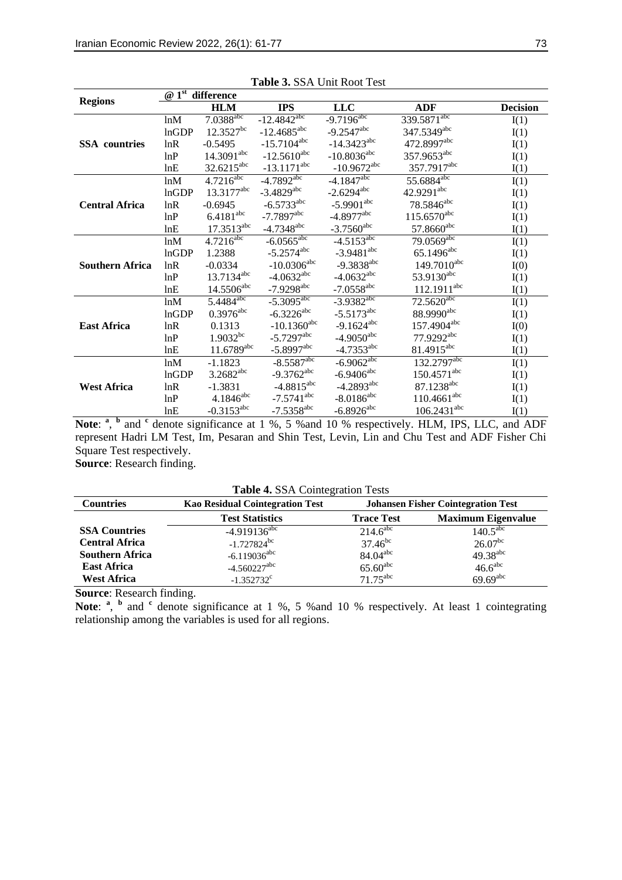|                        |       | @ 1 <sup>st</sup> difference |                          |                            |                           |                 |
|------------------------|-------|------------------------------|--------------------------|----------------------------|---------------------------|-----------------|
| <b>Regions</b>         |       | <b>HLM</b>                   | <b>IPS</b>               | <b>LLC</b>                 | <b>ADF</b>                | <b>Decision</b> |
|                        | ln M  | $7.0388$ <sub>abc</sub>      | $-12.4842^{abc}$         | $-9.7\overline{196}^{abc}$ | 339.5871 <sup>abc</sup>   | I(1)            |
|                        | lnGDP | $12.3527^{bc}$               | $-12.4685^{\text{abc}}$  | $-9.2547$ <sup>abc</sup>   | 347.5349 <sup>abc</sup>   | I(1)            |
| <b>SSA</b> countries   | lnR   | $-0.5495$                    | $-15.7104^{abc}$         | $-14.3423^{abc}$           | 472.8997abc               | I(1)            |
|                        | lnP   | $14.3091$ <sup>abc</sup>     | $-12.5610^{abc}$         | $-10.8036^{abc}$           | 357.9653abc               | I(1)            |
|                        | lnE   | $32.6215^{abc}$              | $-13.1171^{abc}$         | $-10.9672^{abc}$           | 357.7917abc               | I(1)            |
|                        | ln M  | $4.7216^{abc}$               | $-4.7892$ <sup>abc</sup> | $-4.1847$ <sup>abc</sup>   | 55.6884 <sup>abc</sup>    | I(1)            |
|                        | lnGDP | 13.3177abc                   | $-3.4829$ <sup>abc</sup> | $-2.6294^{abc}$            | $42.9291^{\text{abc}}$    | I(1)            |
| <b>Central Africa</b>  | lnR   | $-0.6945$                    | $-6.5733^{\text{abc}}$   | $-5.9901$ <sup>abc</sup>   | $78.5846^{abc}$           | I(1)            |
|                        | lnP   | 6.4181 <sup>abc</sup>        | $-7.7897$ <sup>abc</sup> | $-4.8977$ <sup>abc</sup>   | $115.6570^{\rm abc}$      | I(1)            |
|                        | lnE   | $17.3513^{abc}$              | $-4.7348^{abc}$          | $-3.7560$ <sup>abc</sup>   | $57.8660$ <sup>abc</sup>  | I(1)            |
|                        | ln M  | $4.721\overline{6^{abc}}$    | $-6.0565^{\text{abc}}$   | $-4.5\overline{153}^{abc}$ | $79.0569^{abc}$           | I(1)            |
|                        | lnGDP | 1.2388                       | $-5.2574^{\text{abc}}$   | $-3.9481^{abc}$            | $65.1496^{\text{abc}}$    | I(1)            |
| <b>Southern Africa</b> | lnR   | $-0.0334$                    | $-10.0306^{\rm abc}$     | $-9.3838^{abc}$            | 149.7010 <sup>abc</sup>   | I(0)            |
|                        | lnP   | 13.7134 <sup>abc</sup>       | $-4.0632^{abc}$          | $-4.0632^{\text{abc}}$     | 53.9130 <sup>abc</sup>    | I(1)            |
|                        | lnE   | $14.5506^{abc}$              | $-7.9298$ <sup>abc</sup> | $-7.0558$ <sup>abc</sup>   | $112.1911^{abc}$          | I(1)            |
|                        | ln M  | $5.4484^{abc}$               | $-5.3095^{\text{abc}}$   | $-3.9382^{abc}$            | $72.5620$ <sup>abc</sup>  | I(1)            |
|                        | lnGDP | $0.3976^{\text{abc}}$        | $-6.3226$ <sup>abc</sup> | $-5.5173^{\text{abc}}$     | 88.9990 <sup>abc</sup>    | I(1)            |
| <b>East Africa</b>     | lnR   | 0.1313                       | $-10.1360^{\text{abc}}$  | $-9.1624^{abc}$            | 157.4904abc               | I(0)            |
|                        | lnP   | $1.9032^{bc}$                | $-5.7297$ <sup>abc</sup> | $-4.9050$ <sup>abc</sup>   | 77.9292abc                | I(1)            |
|                        | lnE   | $11.6789^{abc}$              | $-5.8997$ <sup>abc</sup> | $-4.7353^{\text{abc}}$     | 81.4915 <sup>abc</sup>    | I(1)            |
|                        | lnM   | $-1.1823$                    | $-8.5587$ <sup>abc</sup> | $-6.9062$ <sup>abc</sup>   | 132.2797abc               | I(1)            |
|                        | lnGDP | $3.2682^{abc}$               | $-9.3762$ <sup>abc</sup> | $-6.9406$ <sup>abc</sup>   | $150.4571$ <sup>abc</sup> | I(1)            |
| <b>West Africa</b>     | lnR   | $-1.3831$                    | $-4.8815^{\text{abc}}$   | $-4.2893^{abc}$            | 87.1238abc                | I(1)            |
|                        | lnP   | $4.1846^{\text{abc}}$        | $-7.5741$ <sup>abc</sup> | $-8.0186^{\rm abc}$        | $110.4661^{abc}$          | I(1)            |
|                        | lnE   | $-0.3153^{\text{abc}}$       | $-7.5358$ <sup>abc</sup> | $-6.8926$ <sup>abc</sup>   | $106.2431^{abc}$          | I(1)            |

**Table 3.** SSA Unit Root Test

Note: <sup>a</sup>, <sup>b</sup> and <sup>c</sup> denote significance at 1 %, 5 % and 10 % respectively. HLM, IPS, LLC, and ADF represent Hadri LM Test, Im, Pesaran and Shin Test, Levin, Lin and Chu Test and ADF Fisher Chi Square Test respectively. **Source**: Research finding.

**Table 4.** SSA Cointegration Tests

| <b>Countries</b>       | <b>Kao Residual Cointegration Test</b> | <b>Johansen Fisher Cointegration Test</b> |                           |  |  |
|------------------------|----------------------------------------|-------------------------------------------|---------------------------|--|--|
|                        | <b>Test Statistics</b>                 | <b>Trace Test</b>                         | <b>Maximum Eigenvalue</b> |  |  |
| <b>SSA Countries</b>   | $-4.919136$ <sup>abc</sup>             | 214.6 <sup>abc</sup>                      | $140.5^{\rm abc}$         |  |  |
| <b>Central Africa</b>  | $-1.727824$ <sup>bc</sup>              | $37.46^{bc}$                              | $26.07^{bc}$              |  |  |
| <b>Southern Africa</b> | $-6.119036^{abc}$                      | $84.04$ <sup>abc</sup>                    | $49.38$ <sup>abc</sup>    |  |  |
| <b>East Africa</b>     | $-4.560227$ <sup>abc</sup>             | $65.60$ <sup>abc</sup>                    | $46.6^{\text{abc}}$       |  |  |
| <b>West Africa</b>     | $-1.352732^c$                          | $71.75^{\text{abc}}$                      | $69.69$ <sup>abc</sup>    |  |  |

**Source**: Research finding.

Note: <sup>a</sup>, <sup>b</sup> and <sup>c</sup> denote significance at 1 %, 5 % and 10 % respectively. At least 1 cointegrating relationship among the variables is used for all regions.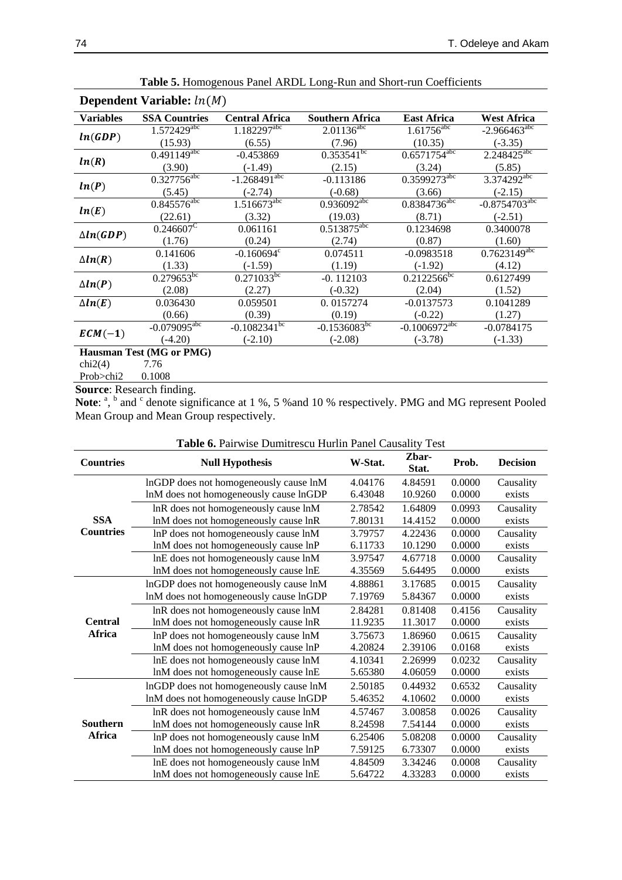| Dependent Variable: $ln(M)$ |                                    |                                    |                            |                              |                             |  |  |
|-----------------------------|------------------------------------|------------------------------------|----------------------------|------------------------------|-----------------------------|--|--|
| <b>Variables</b>            | <b>SSA Countries</b>               | <b>Central Africa</b>              | <b>Southern Africa</b>     | <b>East Africa</b>           | <b>West Africa</b>          |  |  |
| ln(GDP)                     | $1.572\overline{429}^{\text{abc}}$ | $1.182297$ <sup>abc</sup>          | $2.01136^{\text{abc}}$     | $1.61756$ <sup>abc</sup>     | $-2.966463$ <sup>abc</sup>  |  |  |
|                             | (15.93)                            | (6.55)                             | (7.96)                     | (10.35)                      | $(-3.35)$                   |  |  |
|                             | $0.491149^{abc}$                   | $-0.453869$                        | $0.353\overline{541}^{bc}$ | $0.65717\overline{54^{abc}}$ | $2.248425^{abc}$            |  |  |
| ln(R)                       | (3.90)                             | $(-1.49)$                          | (2.15)                     | (3.24)                       | (5.85)                      |  |  |
|                             | $0.327756^{abc}$                   | $-1.268491^{abc}$                  | $-0.113186$                | 0.3599273abc                 | $3.374292^{abc}$            |  |  |
| ln(P)                       | (5.45)                             | $(-2.74)$                          | $(-0.68)$                  | (3.66)                       | $(-2.15)$                   |  |  |
|                             | $0.845576^{abc}$                   | $1.5\overline{16673}^{\text{abc}}$ | $0.936092^{abc}$           | $0.8384736^{abc}$            | $-0.8754703$ <sup>abc</sup> |  |  |
| ln(E)                       | (22.61)                            | (3.32)                             | (19.03)                    | (8.71)                       | $(-2.51)$                   |  |  |
|                             | $0.246607^{\overline{C}}$          | 0.061161                           | $0.513875^{\text{abc}}$    | 0.1234698                    | 0.3400078                   |  |  |
| $\Delta ln(GDP)$            | (1.76)                             | (0.24)                             | (2.74)                     | (0.87)                       | (1.60)                      |  |  |
|                             | 0.141606                           | $-0.160694^{\circ}$                | 0.074511                   | $-0.0983518$                 | $0.7623149^{abc}$           |  |  |
| $\Delta ln(R)$              | (1.33)                             | $(-1.59)$                          | (1.19)                     | $(-1.92)$                    | (4.12)                      |  |  |
|                             | $0.279653^{bc}$                    | $0.271033^{bc}$                    | $-0.112103$                | $0.2122566^{b\overline{c}}$  | 0.6127499                   |  |  |
| $\Delta ln(P)$              | (2.08)                             | (2.27)                             | $(-0.32)$                  | (2.04)                       | (1.52)                      |  |  |
| $\Delta ln(E)$              | 0.036430                           | 0.059501                           | 0.0157274                  | $-0.0137573$                 | 0.1041289                   |  |  |
|                             | (0.66)                             | (0.39)                             | (0.19)                     | $(-0.22)$                    | (1.27)                      |  |  |
| $ECM(-1)$                   | $-0.079095$ <sup>abc</sup>         | $-0.1082341^{bc}$                  | $-0.1536083^{bc}$          | $-0.1006972$ <sup>abc</sup>  | $-0.0784175$                |  |  |
|                             | $(-4.20)$                          | $(-2.10)$                          | $(-2.08)$                  | $(-3.78)$                    | $(-1.33)$                   |  |  |
| Hausman Test (MG or PMG)    |                                    |                                    |                            |                              |                             |  |  |
| chi2(4)                     | 7.76                               |                                    |                            |                              |                             |  |  |
| Prob>chi2                   | 0.1008                             |                                    |                            |                              |                             |  |  |

**Table 5.** Homogenous Panel ARDL Long-Run and Short-run Coefficients

Prob>chi2 **Source**: Research finding.

Note: <sup>a</sup>, <sup>b</sup> and <sup>c</sup> denote significance at 1 %, 5 % and 10 % respectively. PMG and MG represent Pooled Mean Group and Mean Group respectively.

| Table 6. Pairwise Dumitrescu Hurlin Panel Causality Test |  |  |
|----------------------------------------------------------|--|--|
|----------------------------------------------------------|--|--|

| <b>Countries</b>          | <b>Null Hypothesis</b>                 | W-Stat. | Zbar-<br>Stat. | Prob.  | <b>Decision</b> |
|---------------------------|----------------------------------------|---------|----------------|--------|-----------------|
|                           | InGDP does not homogeneously cause lnM | 4.04176 | 4.84591        | 0.0000 | Causality       |
|                           | lnM does not homogeneously cause lnGDP | 6.43048 | 10.9260        | 0.0000 | exists          |
|                           | InR does not homogeneously cause InM   | 2.78542 | 1.64809        | 0.0993 | Causality       |
| <b>SSA</b>                | lnM does not homogeneously cause lnR   | 7.80131 | 14.4152        | 0.0000 | exists          |
| <b>Countries</b>          | InP does not homogeneously cause lnM   | 3.79757 | 4.22436        | 0.0000 | Causality       |
|                           | lnM does not homogeneously cause lnP   | 6.11733 | 10.1290        | 0.0000 | exists          |
|                           | InE does not homogeneously cause lnM   | 3.97547 | 4.67718        | 0.0000 | Causality       |
|                           | lnM does not homogeneously cause lnE   | 4.35569 | 5.64495        | 0.0000 | exists          |
|                           | InGDP does not homogeneously cause lnM | 4.88861 | 3.17685        | 0.0015 | Causality       |
|                           | lnM does not homogeneously cause lnGDP | 7.19769 | 5.84367        | 0.0000 | exists          |
|                           | InR does not homogeneously cause lnM   | 2.84281 | 0.81408        | 0.4156 | Causality       |
| <b>Central</b><br>Africa  | lnM does not homogeneously cause lnR   | 11.9235 | 11.3017        | 0.0000 | exists          |
|                           | InP does not homogeneously cause lnM   | 3.75673 | 1.86960        | 0.0615 | Causality       |
|                           | lnM does not homogeneously cause lnP   | 4.20824 | 2.39106        | 0.0168 | exists          |
|                           | InE does not homogeneously cause lnM   | 4.10341 | 2.26999        | 0.0232 | Causality       |
|                           | lnM does not homogeneously cause lnE   | 5.65380 | 4.06059        | 0.0000 | exists          |
|                           | InGDP does not homogeneously cause lnM | 2.50185 | 0.44932        | 0.6532 | Causality       |
| Southern<br><b>Africa</b> | lnM does not homogeneously cause lnGDP | 5.46352 | 4.10602        | 0.0000 | exists          |
|                           | InR does not homogeneously cause InM   | 4.57467 | 3.00858        | 0.0026 | Causality       |
|                           | lnM does not homogeneously cause lnR   | 8.24598 | 7.54144        | 0.0000 | exists          |
|                           | InP does not homogeneously cause lnM   | 6.25406 | 5.08208        | 0.0000 | Causality       |
|                           | lnM does not homogeneously cause lnP   | 7.59125 | 6.73307        | 0.0000 | exists          |
|                           | InE does not homogeneously cause lnM   | 4.84509 | 3.34246        | 0.0008 | Causality       |
|                           | lnM does not homogeneously cause lnE   | 5.64722 | 4.33283        | 0.0000 | exists          |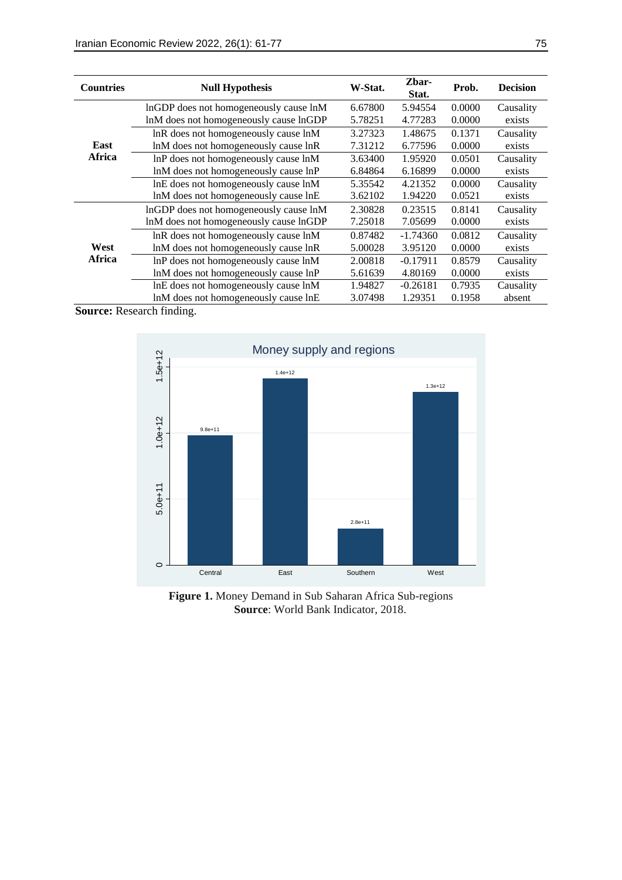| <b>Countries</b> | <b>Null Hypothesis</b>                 | W-Stat. | Zbar-<br>Stat. | Prob.  | <b>Decision</b> |
|------------------|----------------------------------------|---------|----------------|--------|-----------------|
|                  | InGDP does not homogeneously cause lnM | 6.67800 | 5.94554        | 0.0000 | Causality       |
|                  | lnM does not homogeneously cause lnGDP | 5.78251 | 4.77283        | 0.0000 | exists          |
|                  | lnR does not homogeneously cause lnM   | 3.27323 | 1.48675        | 0.1371 | Causality       |
| East             | lnM does not homogeneously cause lnR   | 7.31212 | 6.77596        | 0.0000 | exists          |
| Africa           | InP does not homogeneously cause lnM   | 3.63400 | 1.95920        | 0.0501 | Causality       |
|                  | lnM does not homogeneously cause lnP   | 6.84864 | 6.16899        | 0.0000 | exists          |
|                  | InE does not homogeneously cause lnM   | 5.35542 | 4.21352        | 0.0000 | Causality       |
|                  | lnM does not homogeneously cause lnE   | 3.62102 | 1.94220        | 0.0521 | exists          |
|                  | InGDP does not homogeneously cause lnM | 2.30828 | 0.23515        | 0.8141 | Causality       |
|                  | lnM does not homogeneously cause lnGDP | 7.25018 | 7.05699        | 0.0000 | exists          |
|                  | lnR does not homogeneously cause lnM   | 0.87482 | $-1.74360$     | 0.0812 | Causality       |
| West<br>Africa   | lnM does not homogeneously cause lnR   | 5.00028 | 3.95120        | 0.0000 | exists          |
|                  | InP does not homogeneously cause lnM   | 2.00818 | $-0.17911$     | 0.8579 | Causality       |
|                  | lnM does not homogeneously cause lnP   | 5.61639 | 4.80169        | 0.0000 | exists          |
|                  | InE does not homogeneously cause lnM   | 1.94827 | $-0.26181$     | 0.7935 | Causality       |
|                  | lnM does not homogeneously cause lnE   | 3.07498 | 1.29351        | 0.1958 | absent          |

**Source:** Research finding.



**Figure 1.** Money Demand in Sub Saharan Africa Sub-regions **Source**: World Bank Indicator, 2018.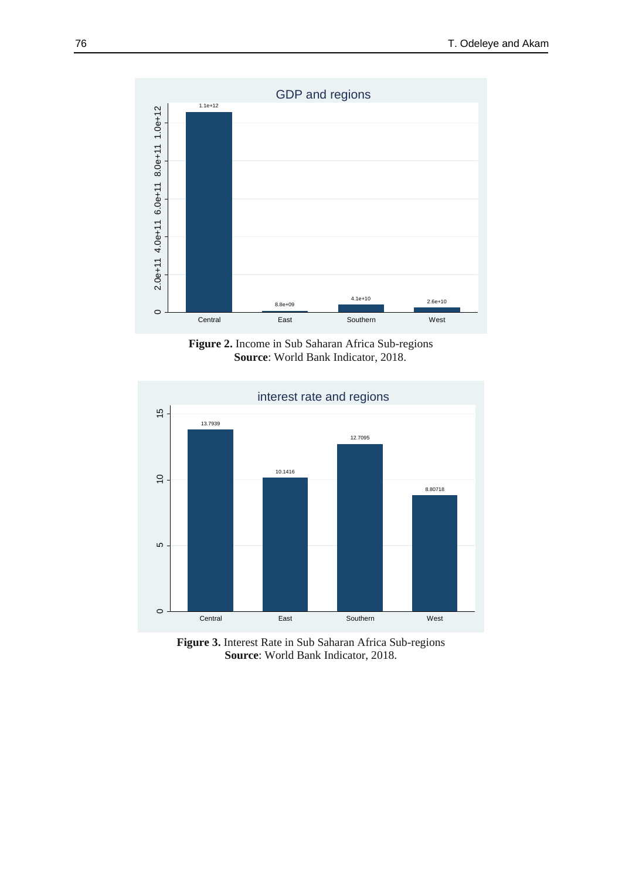

**Figure 2.** Income in Sub Saharan Africa Sub-regions **Source**: World Bank Indicator, 2018.



**Figure 3.** Interest Rate in Sub Saharan Africa Sub-regions **Source**: World Bank Indicator, 2018.